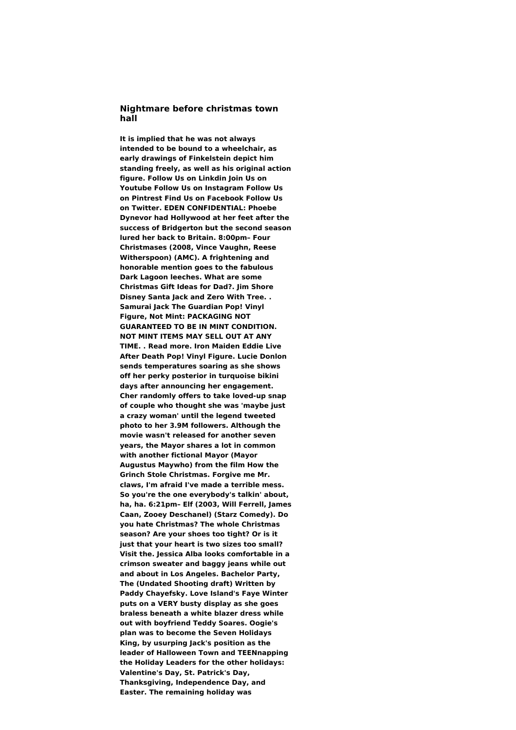## **Nightmare before christmas town hall**

**It is implied that he was not always intended to be bound to a wheelchair, as early drawings of Finkelstein depict him standing freely, as well as his original action figure. Follow Us on Linkdin Join Us on Youtube Follow Us on Instagram Follow Us on Pintrest Find Us on Facebook Follow Us on Twitter. EDEN CONFIDENTIAL: Phoebe Dynevor had Hollywood at her feet after the success of Bridgerton but the second season lured her back to Britain. 8:00pm– Four Christmases (2008, Vince Vaughn, Reese Witherspoon) (AMC). A frightening and honorable mention goes to the fabulous Dark Lagoon leeches. What are some Christmas Gift Ideas for Dad?. Jim Shore Disney Santa Jack and Zero With Tree. . Samurai Jack The Guardian Pop! Vinyl Figure, Not Mint: PACKAGING NOT GUARANTEED TO BE IN MINT CONDITION. NOT MINT ITEMS MAY SELL OUT AT ANY TIME. . Read more. Iron Maiden Eddie Live After Death Pop! Vinyl Figure. Lucie Donlon sends temperatures soaring as she shows off her perky posterior in turquoise bikini days after announcing her engagement. Cher randomly offers to take loved-up snap of couple who thought she was 'maybe just a crazy woman' until the legend tweeted photo to her 3.9M followers. Although the movie wasn't released for another seven years, the Mayor shares a lot in common with another fictional Mayor (Mayor Augustus Maywho) from the film How the Grinch Stole Christmas. Forgive me Mr. claws, I'm afraid I've made a terrible mess. So you're the one everybody's talkin' about, ha, ha. 6:21pm– Elf (2003, Will Ferrell, James Caan, Zooey Deschanel) (Starz Comedy). Do you hate Christmas? The whole Christmas season? Are your shoes too tight? Or is it just that your heart is two sizes too small? Visit the. Jessica Alba looks comfortable in a crimson sweater and baggy jeans while out and about in Los Angeles. Bachelor Party, The (Undated Shooting draft) Written by Paddy Chayefsky. Love Island's Faye Winter puts on a VERY busty display as she goes braless beneath a white blazer dress while out with boyfriend Teddy Soares. Oogie's plan was to become the Seven Holidays King, by usurping Jack's position as the leader of Halloween Town and TEENnapping the Holiday Leaders for the other holidays: Valentine's Day, St. Patrick's Day, Thanksgiving, Independence Day, and Easter. The remaining holiday was**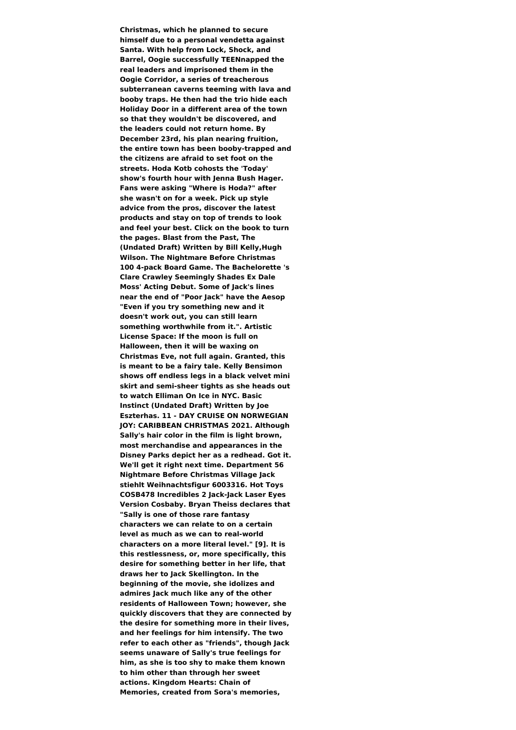**Christmas, which he planned to secure himself due to a personal vendetta against Santa. With help from Lock, Shock, and Barrel, Oogie successfully TEENnapped the real leaders and imprisoned them in the Oogie Corridor, a series of treacherous subterranean caverns teeming with lava and booby traps. He then had the trio hide each Holiday Door in a different area of the town so that they wouldn't be discovered, and the leaders could not return home. By December 23rd, his plan nearing fruition, the entire town has been booby-trapped and the citizens are afraid to set foot on the streets. Hoda Kotb cohosts the 'Today' show's fourth hour with Jenna Bush Hager. Fans were asking "Where is Hoda?" after she wasn't on for a week. Pick up style advice from the pros, discover the latest products and stay on top of trends to look and feel your best. Click on the book to turn the pages. Blast from the Past, The (Undated Draft) Written by Bill Kelly,Hugh Wilson. The Nightmare Before Christmas 100 4-pack Board Game. The Bachelorette 's Clare Crawley Seemingly Shades Ex Dale Moss' Acting Debut. Some of Jack's lines near the end of "Poor Jack" have the Aesop "Even if you try something new and it doesn't work out, you can still learn something worthwhile from it.". Artistic License Space: If the moon is full on Halloween, then it will be waxing on Christmas Eve, not full again. Granted, this is meant to be a fairy tale. Kelly Bensimon shows off endless legs in a black velvet mini skirt and semi-sheer tights as she heads out to watch Elliman On Ice in NYC. Basic Instinct (Undated Draft) Written by Joe Eszterhas. 11 - DAY CRUISE ON NORWEGIAN JOY: CARIBBEAN CHRISTMAS 2021. Although Sally's hair color in the film is light brown, most merchandise and appearances in the Disney Parks depict her as a redhead. Got it. We'll get it right next time. Department 56 Nightmare Before Christmas Village Jack stiehlt Weihnachtsfigur 6003316. Hot Toys COSB478 Incredibles 2 Jack-Jack Laser Eyes Version Cosbaby. Bryan Theiss declares that "Sally is one of those rare fantasy characters we can relate to on a certain level as much as we can to real-world characters on a more literal level." [9]. It is this restlessness, or, more specifically, this desire for something better in her life, that draws her to Jack Skellington. In the beginning of the movie, she idolizes and admires Jack much like any of the other residents of Halloween Town; however, she quickly discovers that they are connected by the desire for something more in their lives, and her feelings for him intensify. The two refer to each other as "friends", though Jack seems unaware of Sally's true feelings for him, as she is too shy to make them known to him other than through her sweet actions. Kingdom Hearts: Chain of Memories, created from Sora's memories,**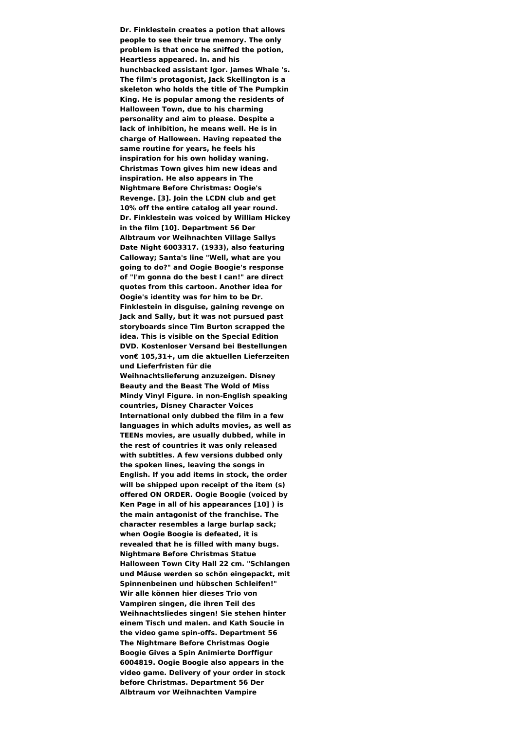**Dr. Finklestein creates a potion that allows people to see their true memory. The only problem is that once he sniffed the potion, Heartless appeared. In. and his hunchbacked assistant Igor. James Whale 's. The film's protagonist, Jack Skellington is a skeleton who holds the title of The Pumpkin King. He is popular among the residents of Halloween Town, due to his charming personality and aim to please. Despite a lack of inhibition, he means well. He is in charge of Halloween. Having repeated the same routine for years, he feels his inspiration for his own holiday waning. Christmas Town gives him new ideas and inspiration. He also appears in The Nightmare Before Christmas: Oogie's Revenge. [3]. Join the LCDN club and get 10% off the entire catalog all year round. Dr. Finklestein was voiced by William Hickey in the film [10]. Department 56 Der Albtraum vor Weihnachten Village Sallys Date Night 6003317. (1933), also featuring Calloway; Santa's line "Well, what are you going to do?" and Oogie Boogie's response of "I'm gonna do the best I can!" are direct quotes from this cartoon. Another idea for Oogie's identity was for him to be Dr. Finklestein in disguise, gaining revenge on Jack and Sally, but it was not pursued past storyboards since Tim Burton scrapped the idea. This is visible on the Special Edition DVD. Kostenloser Versand bei Bestellungen von€ 105,31+, um die aktuellen Lieferzeiten und Lieferfristen für die Weihnachtslieferung anzuzeigen. Disney Beauty and the Beast The Wold of Miss Mindy Vinyl Figure. in non-English speaking countries, Disney Character Voices International only dubbed the film in a few languages in which adults movies, as well as TEENs movies, are usually dubbed, while in the rest of countries it was only released with subtitles. A few versions dubbed only the spoken lines, leaving the songs in English. If you add items in stock, the order will be shipped upon receipt of the item (s) offered ON ORDER. Oogie Boogie (voiced by Ken Page in all of his appearances [10] ) is the main antagonist of the franchise. The character resembles a large burlap sack; when Oogie Boogie is defeated, it is revealed that he is filled with many bugs. Nightmare Before Christmas Statue Halloween Town City Hall 22 cm. "Schlangen und Mäuse werden so schön eingepackt, mit Spinnenbeinen und hübschen Schleifen!" Wir alle können hier dieses Trio von Vampiren singen, die ihren Teil des Weihnachtsliedes singen! Sie stehen hinter einem Tisch und malen. and Kath Soucie in the video game spin-offs. Department 56 The Nightmare Before Christmas Oogie Boogie Gives a Spin Animierte Dorffigur 6004819. Oogie Boogie also appears in the video game. Delivery of your order in stock before Christmas. Department 56 Der Albtraum vor Weihnachten Vampire**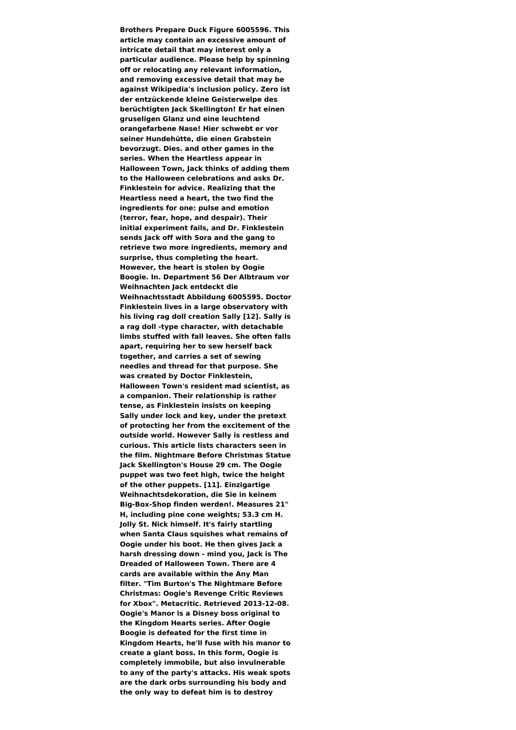**Brothers Prepare Duck Figure 6005596. This article may contain an excessive amount of intricate detail that may interest only a particular audience. Please help by spinning off or relocating any relevant information, and removing excessive detail that may be against Wikipedia's inclusion policy. Zero ist der entzückende kleine Geisterwelpe des berüchtigten Jack Skellington! Er hat einen gruseligen Glanz und eine leuchtend orangefarbene Nase! Hier schwebt er vor seiner Hundehütte, die einen Grabstein bevorzugt. Dies. and other games in the series. When the Heartless appear in Halloween Town, Jack thinks of adding them to the Halloween celebrations and asks Dr. Finklestein for advice. Realizing that the Heartless need a heart, the two find the ingredients for one: pulse and emotion (terror, fear, hope, and despair). Their initial experiment fails, and Dr. Finklestein sends Jack off with Sora and the gang to retrieve two more ingredients, memory and surprise, thus completing the heart. However, the heart is stolen by Oogie Boogie. In. Department 56 Der Albtraum vor Weihnachten Jack entdeckt die Weihnachtsstadt Abbildung 6005595. Doctor Finklestein lives in a large observatory with his living rag doll creation Sally [12]. Sally is a rag doll -type character, with detachable limbs stuffed with fall leaves. She often falls apart, requiring her to sew herself back together, and carries a set of sewing needles and thread for that purpose. She was created by Doctor Finklestein, Halloween Town's resident mad scientist, as a companion. Their relationship is rather tense, as Finklestein insists on keeping Sally under lock and key, under the pretext of protecting her from the excitement of the outside world. However Sally is restless and curious. This article lists characters seen in the film. Nightmare Before Christmas Statue Jack Skellington's House 29 cm. The Oogie puppet was two feet high, twice the height of the other puppets. [11]. Einzigartige Weihnachtsdekoration, die Sie in keinem Big-Box-Shop finden werden!. Measures 21" H, including pine cone weights; 53.3 cm H. Jolly St. Nick himself. It's fairly startling when Santa Claus squishes what remains of Oogie under his boot. He then gives Jack a harsh dressing down - mind you, Jack is The Dreaded of Halloween Town. There are 4 cards are available within the Any Man filter. "Tim Burton's The Nightmare Before Christmas: Oogie's Revenge Critic Reviews for Xbox". Metacritic. Retrieved 2013-12-08. Oogie's Manor is a Disney boss original to the Kingdom Hearts series. After Oogie Boogie is defeated for the first time in Kingdom Hearts, he'll fuse with his manor to create a giant boss. In this form, Oogie is completely immobile, but also invulnerable to any of the party's attacks. His weak spots are the dark orbs surrounding his body and the only way to defeat him is to destroy**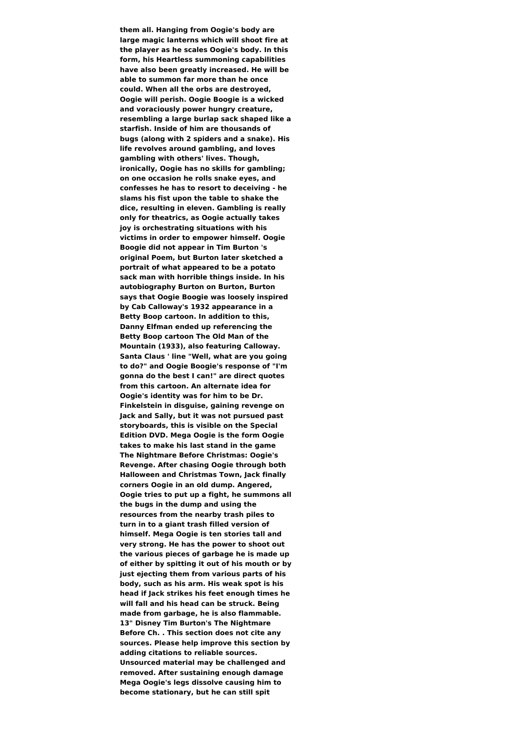**them all. Hanging from Oogie's body are large magic lanterns which will shoot fire at the player as he scales Oogie's body. In this form, his Heartless summoning capabilities have also been greatly increased. He will be able to summon far more than he once could. When all the orbs are destroyed, Oogie will perish. Oogie Boogie is a wicked and voraciously power hungry creature, resembling a large burlap sack shaped like a starfish. Inside of him are thousands of bugs (along with 2 spiders and a snake). His life revolves around gambling, and loves gambling with others' lives. Though, ironically, Oogie has no skills for gambling; on one occasion he rolls snake eyes, and confesses he has to resort to deceiving - he slams his fist upon the table to shake the dice, resulting in eleven. Gambling is really only for theatrics, as Oogie actually takes joy is orchestrating situations with his victims in order to empower himself. Oogie Boogie did not appear in Tim Burton 's original Poem, but Burton later sketched a portrait of what appeared to be a potato sack man with horrible things inside. In his autobiography Burton on Burton, Burton says that Oogie Boogie was loosely inspired by Cab Calloway's 1932 appearance in a Betty Boop cartoon. In addition to this, Danny Elfman ended up referencing the Betty Boop cartoon The Old Man of the Mountain (1933), also featuring Calloway. Santa Claus ' line "Well, what are you going to do?" and Oogie Boogie's response of "I'm gonna do the best I can!" are direct quotes from this cartoon. An alternate idea for Oogie's identity was for him to be Dr. Finkelstein in disguise, gaining revenge on Jack and Sally, but it was not pursued past storyboards, this is visible on the Special Edition DVD. Mega Oogie is the form Oogie takes to make his last stand in the game The Nightmare Before Christmas: Oogie's Revenge. After chasing Oogie through both Halloween and Christmas Town, Jack finally corners Oogie in an old dump. Angered, Oogie tries to put up a fight, he summons all the bugs in the dump and using the resources from the nearby trash piles to turn in to a giant trash filled version of himself. Mega Oogie is ten stories tall and very strong. He has the power to shoot out the various pieces of garbage he is made up of either by spitting it out of his mouth or by just ejecting them from various parts of his body, such as his arm. His weak spot is his head if Jack strikes his feet enough times he will fall and his head can be struck. Being made from garbage, he is also flammable. 13" Disney Tim Burton's The Nightmare Before Ch. . This section does not cite any sources. Please help improve this section by adding citations to reliable sources. Unsourced material may be challenged and removed. After sustaining enough damage Mega Oogie's legs dissolve causing him to become stationary, but he can still spit**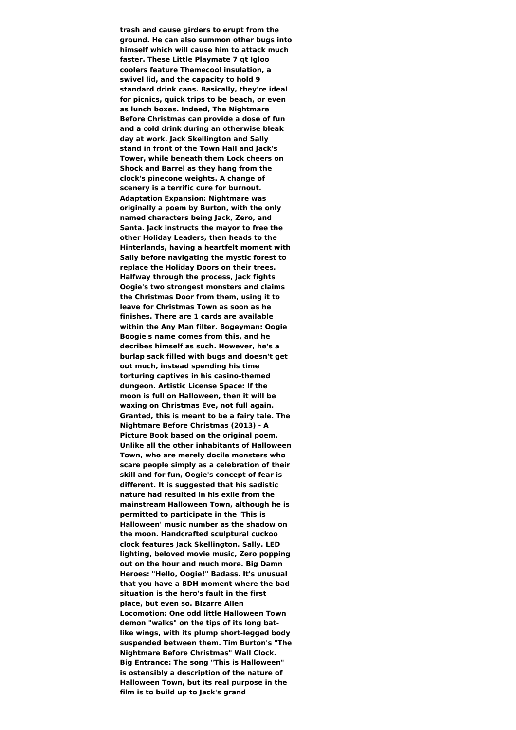**trash and cause girders to erupt from the ground. He can also summon other bugs into himself which will cause him to attack much faster. These Little Playmate 7 qt Igloo coolers feature Themecool insulation, a swivel lid, and the capacity to hold 9 standard drink cans. Basically, they're ideal for picnics, quick trips to be beach, or even as lunch boxes. Indeed, The Nightmare Before Christmas can provide a dose of fun and a cold drink during an otherwise bleak day at work. Jack Skellington and Sally stand in front of the Town Hall and Jack's Tower, while beneath them Lock cheers on Shock and Barrel as they hang from the clock's pinecone weights. A change of scenery is a terrific cure for burnout. Adaptation Expansion: Nightmare was originally a poem by Burton, with the only named characters being Jack, Zero, and Santa. Jack instructs the mayor to free the other Holiday Leaders, then heads to the Hinterlands, having a heartfelt moment with Sally before navigating the mystic forest to replace the Holiday Doors on their trees. Halfway through the process, Jack fights Oogie's two strongest monsters and claims the Christmas Door from them, using it to leave for Christmas Town as soon as he finishes. There are 1 cards are available within the Any Man filter. Bogeyman: Oogie Boogie's name comes from this, and he decribes himself as such. However, he's a burlap sack filled with bugs and doesn't get out much, instead spending his time torturing captives in his casino-themed dungeon. Artistic License Space: If the moon is full on Halloween, then it will be waxing on Christmas Eve, not full again. Granted, this is meant to be a fairy tale. The Nightmare Before Christmas (2013) - A Picture Book based on the original poem. Unlike all the other inhabitants of Halloween Town, who are merely docile monsters who scare people simply as a celebration of their skill and for fun, Oogie's concept of fear is different. It is suggested that his sadistic nature had resulted in his exile from the mainstream Halloween Town, although he is permitted to participate in the 'This is Halloween' music number as the shadow on the moon. Handcrafted sculptural cuckoo clock features Jack Skellington, Sally, LED lighting, beloved movie music, Zero popping out on the hour and much more. Big Damn Heroes: "Hello, Oogie!" Badass. It's unusual that you have a BDH moment where the bad situation is the hero's fault in the first place, but even so. Bizarre Alien Locomotion: One odd little Halloween Town demon "walks" on the tips of its long batlike wings, with its plump short-legged body suspended between them. Tim Burton's "The Nightmare Before Christmas" Wall Clock. Big Entrance: The song "This is Halloween" is ostensibly a description of the nature of Halloween Town, but its real purpose in the film is to build up to Jack's grand**